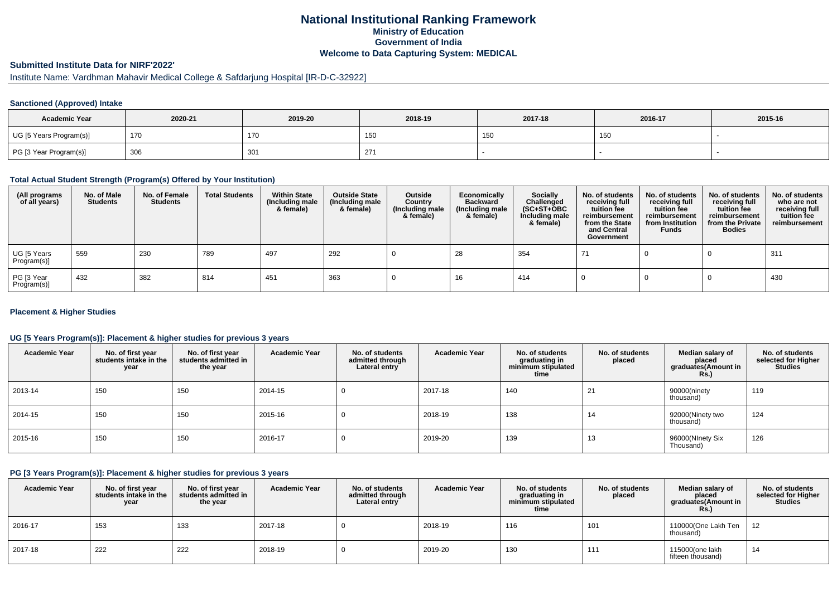### **National Institutional Ranking FrameworkMinistry of Education Government of IndiaWelcome to Data Capturing System: MEDICAL**

## **Submitted Institute Data for NIRF'2022'**

# Institute Name: Vardhman Mahavir Medical College & Safdarjung Hospital [IR-D-C-32922]

#### **Sanctioned (Approved) Intake**

| <b>Academic Year</b>    | 2020-21 | 2019-20 | 2018-19        | 2017-18 | 2016-17 | 2015-16 |
|-------------------------|---------|---------|----------------|---------|---------|---------|
| UG [5 Years Program(s)] | 170     | 170     |                | 150     | 15L     |         |
| PG [3 Year Program(s)]  | 306     | 301     | 27<br><u>_</u> |         |         |         |

#### **Total Actual Student Strength (Program(s) Offered by Your Institution)**

| (All programs<br>of all years) | No. of Male<br><b>Students</b> | No. of Female<br><b>Students</b> | <b>Total Students</b> | <b>Within State</b><br>(Including male<br>& female) | <b>Outside State</b><br>(Including male<br>& female) | Outside<br>Country<br>(Including male<br>& female) | Economically<br><b>Backward</b><br>(Including male<br>& female) | <b>Socially</b><br>Challenged<br>$(SC+ST+OBC)$<br>Including male<br>& female) | No. of students<br>receiving full<br>tuition fee<br>reimbursement<br>from the State<br>and Central<br>Government | No. of students<br>receiving full<br>tuition fee<br>reimbursement<br>from Institution<br><b>Funds</b> | No. of students<br>receiving full<br>tuition fee<br>reimbursement<br>from the Private<br><b>Bodies</b> | No. of students<br>who are not<br>receiving full<br>tuition fee<br>reimbursement |
|--------------------------------|--------------------------------|----------------------------------|-----------------------|-----------------------------------------------------|------------------------------------------------------|----------------------------------------------------|-----------------------------------------------------------------|-------------------------------------------------------------------------------|------------------------------------------------------------------------------------------------------------------|-------------------------------------------------------------------------------------------------------|--------------------------------------------------------------------------------------------------------|----------------------------------------------------------------------------------|
| UG [5 Years<br>Program(s)]     | 559                            | 230                              | 789                   | 497                                                 | 292                                                  |                                                    | 28                                                              | 354                                                                           | -71                                                                                                              |                                                                                                       |                                                                                                        | 311                                                                              |
| PG [3 Year<br>Program(s)]      | 432                            | 382                              | 814                   | 451                                                 | 363                                                  |                                                    | 16                                                              | 414                                                                           |                                                                                                                  |                                                                                                       |                                                                                                        | 430                                                                              |

#### **Placement & Higher Studies**

#### **UG [5 Years Program(s)]: Placement & higher studies for previous 3 years**

| <b>Academic Year</b> | No. of first year<br>students intake in the<br>year | No. of first vear<br>students admitted in<br>the year | <b>Academic Year</b> | No. of students<br>admitted through<br>Lateral entry | <b>Academic Year</b> | No. of students<br>graduating in<br>minimum stipulated<br>time | No. of students<br>placed | Median salary of<br>placed<br>graduates(Amount in<br>Rs.) | No. of students<br>selected for Higher<br><b>Studies</b> |
|----------------------|-----------------------------------------------------|-------------------------------------------------------|----------------------|------------------------------------------------------|----------------------|----------------------------------------------------------------|---------------------------|-----------------------------------------------------------|----------------------------------------------------------|
| 2013-14              | 150                                                 | 150                                                   | 2014-15              |                                                      | 2017-18              | 140                                                            | 21                        | 90000(ninety<br>thousand)                                 | 119                                                      |
| 2014-15              | 150                                                 | 150                                                   | 2015-16              |                                                      | 2018-19              | 138                                                            | 14                        | 92000(Ninety two<br>thousand)                             | 124                                                      |
| 2015-16              | 150                                                 | 150                                                   | 2016-17              |                                                      | 2019-20              | 139                                                            | 13                        | 96000(NInety Six<br>Thousand)                             | 126                                                      |

### **PG [3 Years Program(s)]: Placement & higher studies for previous 3 years**

| <b>Academic Year</b> | No. of first year<br>students intake in the<br>year | No. of first year<br>students admitted in<br>the year | <b>Academic Year</b> | No. of students<br>admitted through<br>Lateral entry | <b>Academic Year</b> | No. of students<br>graduating in<br>minimum stipulated<br>time | No. of students<br>placed | Median salary of<br>placed<br>graduates(Amount in<br><b>Rs.)</b> | No. of students<br>selected for Higher<br><b>Studies</b> |
|----------------------|-----------------------------------------------------|-------------------------------------------------------|----------------------|------------------------------------------------------|----------------------|----------------------------------------------------------------|---------------------------|------------------------------------------------------------------|----------------------------------------------------------|
| 2016-17              | 153                                                 | 133                                                   | 2017-18              |                                                      | 2018-19              | 116                                                            | 101                       | 110000(One Lakh Ten<br>thousand)                                 | 12                                                       |
| 2017-18              | 222                                                 | 222                                                   | 2018-19              |                                                      | 2019-20              | 130                                                            | 111                       | 115000(one lakh<br>fifteen thousand)                             | 14                                                       |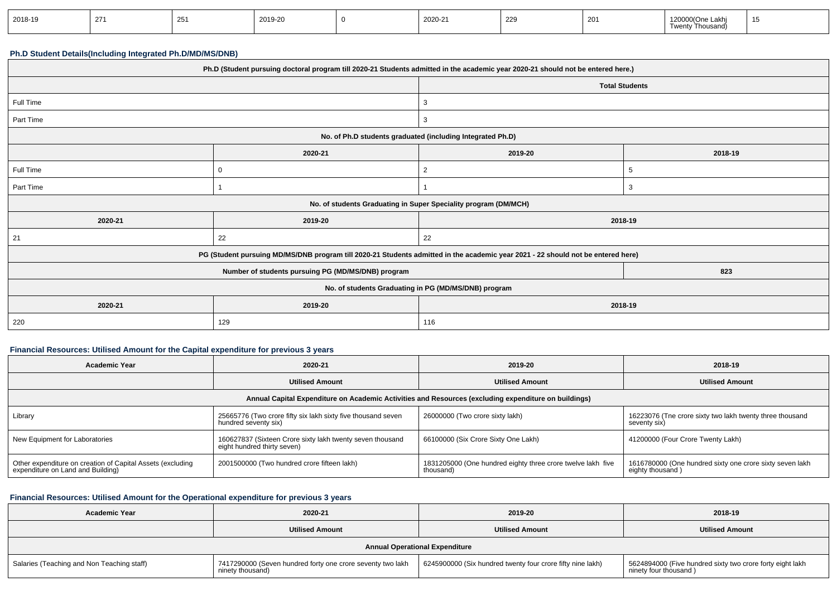| 2018-19 | 271<br>، م | ںے | 2019-20 |  | 2020-21 | 229 | ZU. | 000(One Lakh<br>יש∠ו<br>Thousand<br>Twentv |  |
|---------|------------|----|---------|--|---------|-----|-----|--------------------------------------------|--|
|---------|------------|----|---------|--|---------|-----|-----|--------------------------------------------|--|

# **Ph.D Student Details(Including Integrated Ph.D/MD/MS/DNB)**

| Ph.D (Student pursuing doctoral program till 2020-21 Students admitted in the academic year 2020-21 should not be entered here.) |                                                                                                                                  |                                                                 |         |  |  |
|----------------------------------------------------------------------------------------------------------------------------------|----------------------------------------------------------------------------------------------------------------------------------|-----------------------------------------------------------------|---------|--|--|
|                                                                                                                                  |                                                                                                                                  | <b>Total Students</b>                                           |         |  |  |
| Full Time                                                                                                                        |                                                                                                                                  | 3                                                               |         |  |  |
| Part Time                                                                                                                        |                                                                                                                                  | 3                                                               |         |  |  |
|                                                                                                                                  | No. of Ph.D students graduated (including Integrated Ph.D)                                                                       |                                                                 |         |  |  |
|                                                                                                                                  | 2020-21                                                                                                                          | 2019-20                                                         | 2018-19 |  |  |
| Full Time                                                                                                                        | $\Omega$                                                                                                                         | $\overline{2}$                                                  | -5      |  |  |
| Part Time                                                                                                                        |                                                                                                                                  |                                                                 | 3       |  |  |
|                                                                                                                                  |                                                                                                                                  | No. of students Graduating in Super Speciality program (DM/MCH) |         |  |  |
| 2020-21                                                                                                                          | 2019-20                                                                                                                          | 2018-19                                                         |         |  |  |
| 21                                                                                                                               | 22                                                                                                                               | 22                                                              |         |  |  |
|                                                                                                                                  | PG (Student pursuing MD/MS/DNB program till 2020-21 Students admitted in the academic year 2021 - 22 should not be entered here) |                                                                 |         |  |  |
| Number of students pursuing PG (MD/MS/DNB) program<br>823                                                                        |                                                                                                                                  |                                                                 |         |  |  |
| No. of students Graduating in PG (MD/MS/DNB) program                                                                             |                                                                                                                                  |                                                                 |         |  |  |
| 2020-21                                                                                                                          | 2019-20                                                                                                                          | 2018-19                                                         |         |  |  |
| 220                                                                                                                              | 129                                                                                                                              | 116                                                             |         |  |  |

### **Financial Resources: Utilised Amount for the Capital expenditure for previous 3 years**

| <b>Academic Year</b>                                                                                 | 2020-21                                                                                  | 2019-20                                                                  | 2018-19                                                                      |  |  |  |  |
|------------------------------------------------------------------------------------------------------|------------------------------------------------------------------------------------------|--------------------------------------------------------------------------|------------------------------------------------------------------------------|--|--|--|--|
|                                                                                                      | <b>Utilised Amount</b>                                                                   | <b>Utilised Amount</b>                                                   | <b>Utilised Amount</b>                                                       |  |  |  |  |
| Annual Capital Expenditure on Academic Activities and Resources (excluding expenditure on buildings) |                                                                                          |                                                                          |                                                                              |  |  |  |  |
| Library                                                                                              | 25665776 (Two crore fifty six lakh sixty five thousand seven<br>hundred seventy six)     | 26000000 (Two crore sixty lakh)                                          | 16223076 (Tne crore sixty two lakh twenty three thousand<br>seventy six)     |  |  |  |  |
| New Equipment for Laboratories                                                                       | 160627837 (Sixteen Crore sixty lakh twenty seven thousand<br>eight hundred thirty seven) | 66100000 (Six Crore Sixty One Lakh)                                      | 41200000 (Four Crore Twenty Lakh)                                            |  |  |  |  |
| Other expenditure on creation of Capital Assets (excluding<br>expenditure on Land and Building)      | 2001500000 (Two hundred crore fifteen lakh)                                              | 1831205000 (One hundred eighty three crore twelve lakh five<br>thousand) | 1616780000 (One hundred sixty one crore sixty seven lakh<br>eighty thousand) |  |  |  |  |

### **Financial Resources: Utilised Amount for the Operational expenditure for previous 3 years**

| <b>Academic Year</b>                       | 2020-21                                                                        | 2019-20                                                    | 2018-19                                                                            |
|--------------------------------------------|--------------------------------------------------------------------------------|------------------------------------------------------------|------------------------------------------------------------------------------------|
|                                            | <b>Utilised Amount</b>                                                         | <b>Utilised Amount</b>                                     | <b>Utilised Amount</b>                                                             |
|                                            |                                                                                | <b>Annual Operational Expenditure</b>                      |                                                                                    |
| Salaries (Teaching and Non Teaching staff) | 7417290000 (Seven hundred forty one crore seventy two lakh<br>ninety thousand) | 6245900000 (Six hundred twenty four crore fifty nine lakh) | 5624894000 (Five hundred sixty two crore forty eight lakh<br>ninety four thousand) |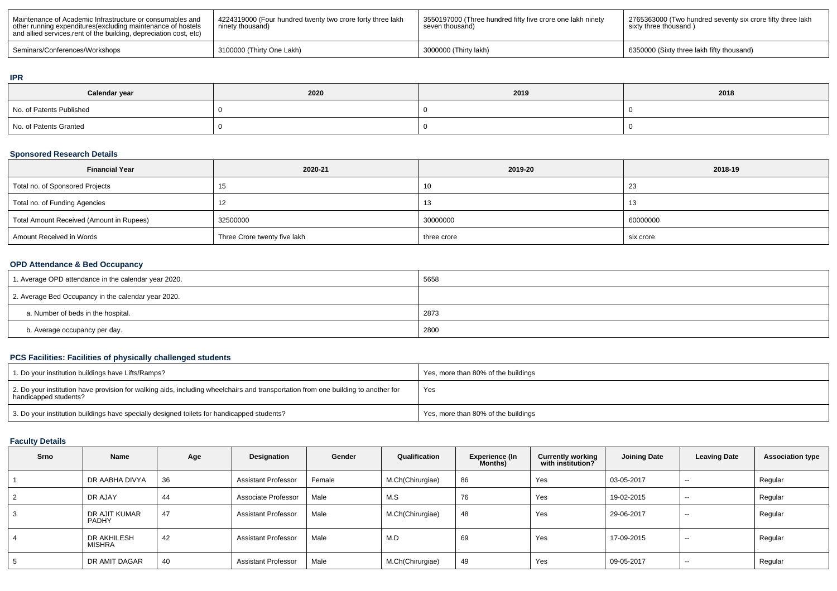| Maintenance of Academic Infrastructure or consumables and<br>other running expenditures (excluding maintenance of hostels<br>and allied services, rent of the building, depreciation cost, etc) | 4224319000 (Four hundred twenty two crore forty three lakh<br>ninety thousand) | 3550197000 (Three hundred fifty five crore one lakh ninety<br>seven thousand) | 2765363000 (Two hundred seventy six crore fifty three lakh<br>sixty three thousand) |
|-------------------------------------------------------------------------------------------------------------------------------------------------------------------------------------------------|--------------------------------------------------------------------------------|-------------------------------------------------------------------------------|-------------------------------------------------------------------------------------|
| Seminars/Conferences/Workshops                                                                                                                                                                  | 3100000 (Thirty One Lakh)                                                      | 3000000 (Thirty lakh)                                                         | 6350000 (Sixty three lakh fifty thousand)                                           |

#### **IPR**

| Calendar year            | 2020 | 2019 | 2018 |
|--------------------------|------|------|------|
| No. of Patents Published |      |      |      |
| No. of Patents Granted   |      |      |      |

# **Sponsored Research Details**

| <b>Financial Year</b>                    | 2020-21                      | 2019-20     | 2018-19   |
|------------------------------------------|------------------------------|-------------|-----------|
| Total no. of Sponsored Projects          |                              | 10          | -23       |
| Total no. of Funding Agencies            |                              | 13          |           |
| Total Amount Received (Amount in Rupees) | 32500000                     | 30000000    | 60000000  |
| Amount Received in Words                 | Three Crore twenty five lakh | three crore | six crore |

### **OPD Attendance & Bed Occupancy**

| 1. Average OPD attendance in the calendar year 2020. | 5658 |
|------------------------------------------------------|------|
| 2. Average Bed Occupancy in the calendar year 2020.  |      |
| a. Number of beds in the hospital.                   | 2873 |
| b. Average occupancy per day.                        | 2800 |

# **PCS Facilities: Facilities of physically challenged students**

| 1. Do your institution buildings have Lifts/Ramps?                                                                                                         | Yes, more than 80% of the buildings |
|------------------------------------------------------------------------------------------------------------------------------------------------------------|-------------------------------------|
| 2. Do your institution have provision for walking aids, including wheelchairs and transportation from one building to another for<br>handicapped students? | Yes                                 |
| 3. Do your institution buildings have specially designed toilets for handicapped students?                                                                 | Yes, more than 80% of the buildings |

# **Faculty Details**

| Srno | Name                          | Age | Designation                | Gender | Qualification    | <b>Experience (In</b><br>Months) | <b>Currently working</b><br>with institution? | <b>Joining Date</b> | <b>Leaving Date</b> | <b>Association type</b> |
|------|-------------------------------|-----|----------------------------|--------|------------------|----------------------------------|-----------------------------------------------|---------------------|---------------------|-------------------------|
|      | DR AABHA DIVYA                | 36  | <b>Assistant Professor</b> | Female | M.Ch(Chirurgiae) | 86                               | Yes                                           | 03-05-2017          | $-$                 | Regular                 |
| 2    | DR AJAY                       | 44  | Associate Professor        | Male   | M.S              | 76                               | Yes                                           | 19-02-2015          | $- -$               | Regular                 |
| 3    | DR AJIT KUMAR<br><b>PADHY</b> | 47  | <b>Assistant Professor</b> | Male   | M.Ch(Chirurgiae) | 48                               | Yes                                           | 29-06-2017          | $- -$               | Regular                 |
| 4    | DR AKHILESH<br>MISHRA         | 42  | <b>Assistant Professor</b> | Male   | M.D              | 69                               | Yes                                           | 17-09-2015          | $\sim$              | Regular                 |
| 5    | DR AMIT DAGAR                 | 40  | <b>Assistant Professor</b> | Male   | M.Ch(Chirurgiae) | 49                               | Yes                                           | 09-05-2017          | $-$                 | Regular                 |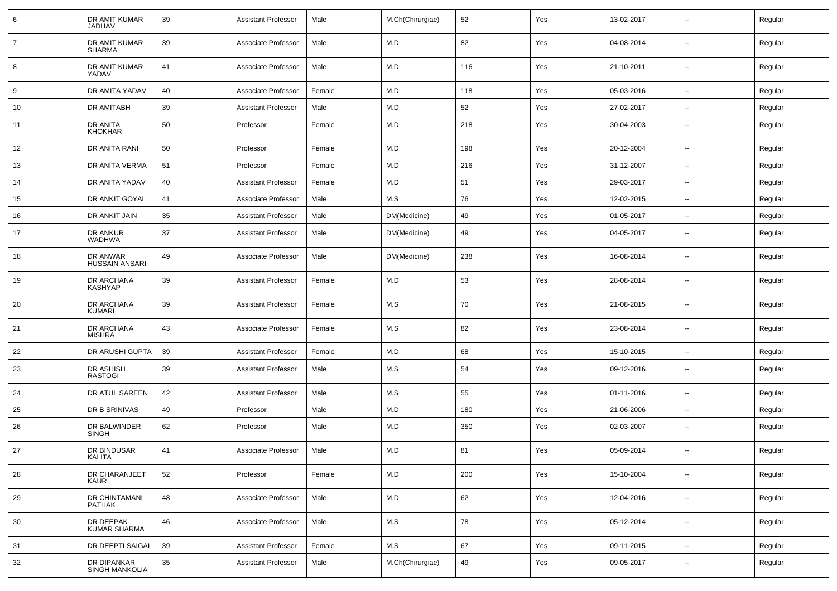| 6              | DR AMIT KUMAR<br><b>JADHAV</b>      | 39 | <b>Assistant Professor</b> | Male   | M.Ch(Chirurgiae) | 52  | Yes | 13-02-2017 | $\overline{\phantom{a}}$ | Regular |
|----------------|-------------------------------------|----|----------------------------|--------|------------------|-----|-----|------------|--------------------------|---------|
| $\overline{7}$ | DR AMIT KUMAR<br><b>SHARMA</b>      | 39 | Associate Professor        | Male   | M.D              | 82  | Yes | 04-08-2014 | $\overline{\phantom{a}}$ | Regular |
| 8              | DR AMIT KUMAR<br>YADAV              | 41 | Associate Professor        | Male   | M.D              | 116 | Yes | 21-10-2011 | ⊷.                       | Regular |
| 9              | DR AMITA YADAV                      | 40 | Associate Professor        | Female | M.D              | 118 | Yes | 05-03-2016 | ⊷.                       | Regular |
| 10             | DR AMITABH                          | 39 | <b>Assistant Professor</b> | Male   | M.D              | 52  | Yes | 27-02-2017 | --                       | Regular |
| 11             | DR ANITA<br><b>KHOKHAR</b>          | 50 | Professor                  | Female | M.D              | 218 | Yes | 30-04-2003 | --                       | Regular |
| 12             | DR ANITA RANI                       | 50 | Professor                  | Female | M.D              | 198 | Yes | 20-12-2004 | $\overline{\phantom{a}}$ | Regular |
| 13             | DR ANITA VERMA                      | 51 | Professor                  | Female | M.D              | 216 | Yes | 31-12-2007 | $\overline{\phantom{a}}$ | Regular |
| 14             | DR ANITA YADAV                      | 40 | <b>Assistant Professor</b> | Female | M.D              | 51  | Yes | 29-03-2017 |                          | Regular |
| 15             | DR ANKIT GOYAL                      | 41 | Associate Professor        | Male   | M.S              | 76  | Yes | 12-02-2015 | $\overline{\phantom{a}}$ | Regular |
| 16             | DR ANKIT JAIN                       | 35 | <b>Assistant Professor</b> | Male   | DM(Medicine)     | 49  | Yes | 01-05-2017 | $\overline{\phantom{a}}$ | Regular |
| 17             | DR ANKUR<br><b>WADHWA</b>           | 37 | <b>Assistant Professor</b> | Male   | DM(Medicine)     | 49  | Yes | 04-05-2017 | ⊷.                       | Regular |
| 18             | DR ANWAR<br><b>HUSSAIN ANSARI</b>   | 49 | Associate Professor        | Male   | DM(Medicine)     | 238 | Yes | 16-08-2014 | --                       | Regular |
| 19             | <b>DR ARCHANA</b><br><b>KASHYAP</b> | 39 | <b>Assistant Professor</b> | Female | M.D              | 53  | Yes | 28-08-2014 | --                       | Regular |
| 20             | DR ARCHANA<br><b>KUMARI</b>         | 39 | <b>Assistant Professor</b> | Female | M.S              | 70  | Yes | 21-08-2015 | --                       | Regular |
| 21             | DR ARCHANA<br><b>MISHRA</b>         | 43 | Associate Professor        | Female | M.S              | 82  | Yes | 23-08-2014 | --                       | Regular |
| 22             | DR ARUSHI GUPTA                     | 39 | <b>Assistant Professor</b> | Female | M.D              | 68  | Yes | 15-10-2015 | -−                       | Regular |
| 23             | DR ASHISH<br><b>RASTOGI</b>         | 39 | <b>Assistant Professor</b> | Male   | M.S              | 54  | Yes | 09-12-2016 | $\overline{\phantom{a}}$ | Regular |
| 24             | DR ATUL SAREEN                      | 42 | <b>Assistant Professor</b> | Male   | M.S              | 55  | Yes | 01-11-2016 | --                       | Regular |
| 25             | DR B SRINIVAS                       | 49 | Professor                  | Male   | M.D              | 180 | Yes | 21-06-2006 | --                       | Regular |
| 26             | DR BALWINDER<br><b>SINGH</b>        | 62 | Professor                  | Male   | M.D              | 350 | Yes | 02-03-2007 | --                       | Regular |
| 27             | DR BINDUSAR<br>KALIIA               | 41 | Associate Professor        | Male   | M.D              | 81  | Yes | 05-09-2014 | --                       | Regular |
| 28             | DR CHARANJEET<br>KAUR               | 52 | Professor                  | Female | M.D              | 200 | Yes | 15-10-2004 | -−                       | Regular |
| 29             | DR CHINTAMANI<br><b>PATHAK</b>      | 48 | Associate Professor        | Male   | M.D              | 62  | Yes | 12-04-2016 | Ξ.                       | Regular |
| 30             | DR DEEPAK<br><b>KUMAR SHARMA</b>    | 46 | Associate Professor        | Male   | M.S              | 78  | Yes | 05-12-2014 | Ξ.                       | Regular |
| 31             | DR DEEPTI SAIGAL                    | 39 | <b>Assistant Professor</b> | Female | M.S              | 67  | Yes | 09-11-2015 | Ξ.                       | Regular |
| 32             | DR DIPANKAR<br>SINGH MANKOLIA       | 35 | <b>Assistant Professor</b> | Male   | M.Ch(Chirurgiae) | 49  | Yes | 09-05-2017 | $\sim$                   | Regular |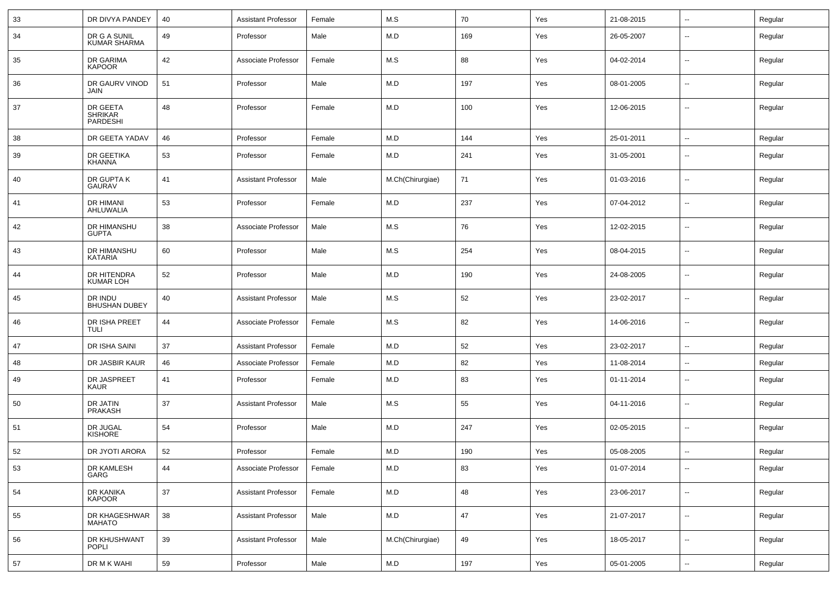| 33 | DR DIVYA PANDEY                        | 40 | <b>Assistant Professor</b> | Female | M.S              | 70  | Yes | 21-08-2015 | $\sim$                   | Regular |
|----|----------------------------------------|----|----------------------------|--------|------------------|-----|-----|------------|--------------------------|---------|
| 34 | DR G A SUNIL<br><b>KUMAR SHARMA</b>    | 49 | Professor                  | Male   | M.D              | 169 | Yes | 26-05-2007 | $\overline{\phantom{a}}$ | Regular |
| 35 | DR GARIMA<br><b>KAPOOR</b>             | 42 | Associate Professor        | Female | M.S              | 88  | Yes | 04-02-2014 | $\overline{\phantom{a}}$ | Regular |
| 36 | DR GAURV VINOD<br>JAIN                 | 51 | Professor                  | Male   | M.D              | 197 | Yes | 08-01-2005 | $\overline{\phantom{a}}$ | Regular |
| 37 | DR GEETA<br><b>SHRIKAR</b><br>PARDESHI | 48 | Professor                  | Female | M.D              | 100 | Yes | 12-06-2015 | --                       | Regular |
| 38 | DR GEETA YADAV                         | 46 | Professor                  | Female | M.D              | 144 | Yes | 25-01-2011 | ⊷.                       | Regular |
| 39 | DR GEETIKA<br>KHANNA                   | 53 | Professor                  | Female | M.D              | 241 | Yes | 31-05-2001 | --                       | Regular |
| 40 | DR GUPTA K<br><b>GAURAV</b>            | 41 | <b>Assistant Professor</b> | Male   | M.Ch(Chirurgiae) | 71  | Yes | 01-03-2016 | $\overline{\phantom{a}}$ | Regular |
| 41 | DR HIMANI<br>AHLUWALIA                 | 53 | Professor                  | Female | M.D              | 237 | Yes | 07-04-2012 | $\overline{\phantom{a}}$ | Regular |
| 42 | DR HIMANSHU<br><b>GUPTA</b>            | 38 | Associate Professor        | Male   | M.S              | 76  | Yes | 12-02-2015 | $\overline{\phantom{a}}$ | Regular |
| 43 | DR HIMANSHU<br>KATARIA                 | 60 | Professor                  | Male   | M.S              | 254 | Yes | 08-04-2015 | --                       | Regular |
| 44 | DR HITENDRA<br><b>KUMAR LOH</b>        | 52 | Professor                  | Male   | M.D              | 190 | Yes | 24-08-2005 | $\overline{a}$           | Regular |
| 45 | DR INDU<br><b>BHUSHAN DUBEY</b>        | 40 | <b>Assistant Professor</b> | Male   | M.S              | 52  | Yes | 23-02-2017 | $\overline{\phantom{a}}$ | Regular |
| 46 | DR ISHA PREET<br><b>TULI</b>           | 44 | Associate Professor        | Female | M.S              | 82  | Yes | 14-06-2016 | --                       | Regular |
| 47 | DR ISHA SAINI                          | 37 | <b>Assistant Professor</b> | Female | M.D              | 52  | Yes | 23-02-2017 | $\overline{\phantom{a}}$ | Regular |
| 48 | DR JASBIR KAUR                         | 46 | Associate Professor        | Female | M.D              | 82  | Yes | 11-08-2014 | $\overline{\phantom{a}}$ | Regular |
| 49 | DR JASPREET<br>KAUR                    | 41 | Professor                  | Female | M.D              | 83  | Yes | 01-11-2014 | --                       | Regular |
| 50 | DR JATIN<br>PRAKASH                    | 37 | <b>Assistant Professor</b> | Male   | M.S              | 55  | Yes | 04-11-2016 | --                       | Regular |
| 51 | DR JUGAL<br><b>KISHORE</b>             | 54 | Professor                  | Male   | M.D              | 247 | Yes | 02-05-2015 | -−                       | Regular |
| 52 | DR JYOTI ARORA                         | 52 | Professor                  | Female | M.D              | 190 | Yes | 05-08-2005 | --                       | Regular |
| 53 | DR KAMLESH<br>GARG                     | 44 | Associate Professor        | Female | M.D              | 83  | Yes | 01-07-2014 | Ξ.                       | Regular |
| 54 | DR KANIKA<br><b>KAPOOR</b>             | 37 | <b>Assistant Professor</b> | Female | M.D              | 48  | Yes | 23-06-2017 | н.                       | Regular |
| 55 | DR KHAGESHWAR<br><b>MAHATO</b>         | 38 | <b>Assistant Professor</b> | Male   | M.D              | 47  | Yes | 21-07-2017 | $\sim$                   | Regular |
| 56 | DR KHUSHWANT<br><b>POPLI</b>           | 39 | <b>Assistant Professor</b> | Male   | M.Ch(Chirurgiae) | 49  | Yes | 18-05-2017 | Ξ.                       | Regular |
| 57 | DR M K WAHI                            | 59 | Professor                  | Male   | M.D              | 197 | Yes | 05-01-2005 | $\sim$                   | Regular |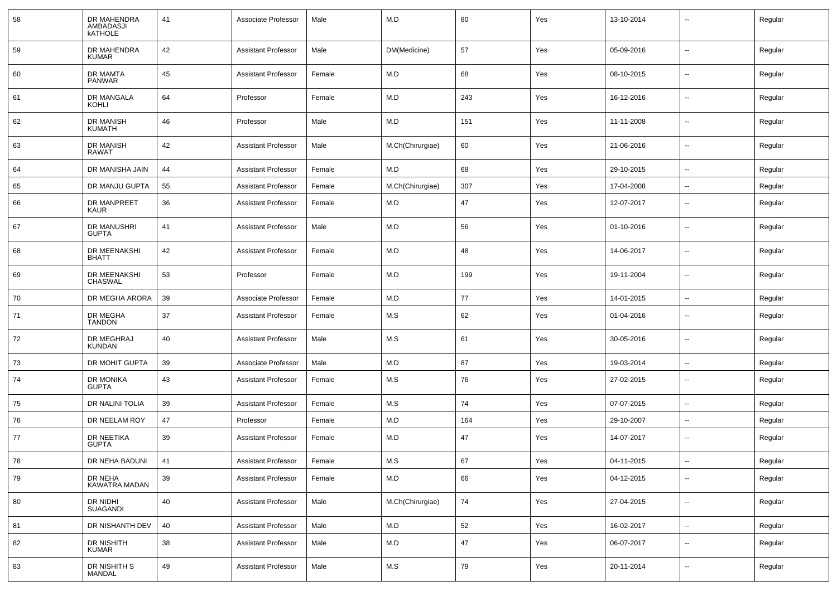| 58 | DR MAHENDRA<br>AMBADASJI<br><b>KATHOLE</b> | 41 | Associate Professor        | Male   | M.D              | 80  | Yes | 13-10-2014 | $\sim$                   | Regular |
|----|--------------------------------------------|----|----------------------------|--------|------------------|-----|-----|------------|--------------------------|---------|
| 59 | DR MAHENDRA<br><b>KUMAR</b>                | 42 | <b>Assistant Professor</b> | Male   | DM(Medicine)     | 57  | Yes | 05-09-2016 | $\overline{\phantom{a}}$ | Regular |
| 60 | DR MAMTA<br><b>PANWAR</b>                  | 45 | <b>Assistant Professor</b> | Female | M.D              | 68  | Yes | 08-10-2015 | $\overline{\phantom{a}}$ | Regular |
| 61 | DR MANGALA<br>KOHLI                        | 64 | Professor                  | Female | M.D              | 243 | Yes | 16-12-2016 | $\overline{\phantom{a}}$ | Regular |
| 62 | <b>DR MANISH</b><br><b>KUMATH</b>          | 46 | Professor                  | Male   | M.D              | 151 | Yes | 11-11-2008 | $\sim$                   | Regular |
| 63 | <b>DR MANISH</b><br>RAWAT                  | 42 | <b>Assistant Professor</b> | Male   | M.Ch(Chirurgiae) | 60  | Yes | 21-06-2016 | $\overline{\phantom{a}}$ | Regular |
| 64 | DR MANISHA JAIN                            | 44 | <b>Assistant Professor</b> | Female | M.D              | 68  | Yes | 29-10-2015 | $\sim$                   | Regular |
| 65 | DR MANJU GUPTA                             | 55 | <b>Assistant Professor</b> | Female | M.Ch(Chirurgiae) | 307 | Yes | 17-04-2008 | $\sim$                   | Regular |
| 66 | DR MANPREET<br>KAUR                        | 36 | <b>Assistant Professor</b> | Female | M.D              | 47  | Yes | 12-07-2017 | $\overline{\phantom{a}}$ | Regular |
| 67 | DR MANUSHRI<br><b>GUPTA</b>                | 41 | <b>Assistant Professor</b> | Male   | M.D              | 56  | Yes | 01-10-2016 | --                       | Regular |
| 68 | DR MEENAKSHI<br><b>BHATT</b>               | 42 | <b>Assistant Professor</b> | Female | M.D              | 48  | Yes | 14-06-2017 | $\overline{\phantom{a}}$ | Regular |
| 69 | DR MEENAKSHI<br><b>CHASWAL</b>             | 53 | Professor                  | Female | M.D              | 199 | Yes | 19-11-2004 | $\overline{\phantom{a}}$ | Regular |
| 70 | DR MEGHA ARORA                             | 39 | Associate Professor        | Female | M.D              | 77  | Yes | 14-01-2015 | $\overline{\phantom{a}}$ | Regular |
| 71 | DR MEGHA<br><b>TANDON</b>                  | 37 | <b>Assistant Professor</b> | Female | M.S              | 62  | Yes | 01-04-2016 | $\sim$                   | Regular |
| 72 | DR MEGHRAJ<br><b>KUNDAN</b>                | 40 | <b>Assistant Professor</b> | Male   | M.S              | 61  | Yes | 30-05-2016 | $\sim$                   | Regular |
| 73 | DR MOHIT GUPTA                             | 39 | Associate Professor        | Male   | M.D              | 87  | Yes | 19-03-2014 | $\sim$                   | Regular |
| 74 | DR MONIKA<br><b>GUPTA</b>                  | 43 | <b>Assistant Professor</b> | Female | M.S              | 76  | Yes | 27-02-2015 | $\overline{\phantom{a}}$ | Regular |
| 75 | DR NALINI TOLIA                            | 39 | <b>Assistant Professor</b> | Female | M.S              | 74  | Yes | 07-07-2015 | $\overline{\phantom{a}}$ | Regular |
| 76 | DR NEELAM ROY                              | 47 | Professor                  | Female | M.D              | 164 | Yes | 29-10-2007 | $\overline{\phantom{a}}$ | Regular |
| 77 | DR NEETIKA<br><b>GUPTA</b>                 | 39 | <b>Assistant Professor</b> | Female | M.D              | 47  | Yes | 14-07-2017 | $\overline{\phantom{a}}$ | Regular |
| 78 | DR NEHA BADUNI                             | 41 | <b>Assistant Professor</b> | Female | M.S              | 67  | Yes | 04-11-2015 | $\sim$                   | Regular |
| 79 | DR NEHA<br>KAWATRA MADAN                   | 39 | <b>Assistant Professor</b> | Female | M.D              | 66  | Yes | 04-12-2015 | $\sim$                   | Regular |
| 80 | DR NIDHI<br>SUAGANDI                       | 40 | <b>Assistant Professor</b> | Male   | M.Ch(Chirurgiae) | 74  | Yes | 27-04-2015 | $\sim$                   | Regular |
| 81 | DR NISHANTH DEV                            | 40 | <b>Assistant Professor</b> | Male   | M.D              | 52  | Yes | 16-02-2017 | $\sim$                   | Regular |
| 82 | DR NISHITH<br><b>KUMAR</b>                 | 38 | <b>Assistant Professor</b> | Male   | M.D              | 47  | Yes | 06-07-2017 | $\overline{\phantom{a}}$ | Regular |
| 83 | DR NISHITH S<br><b>MANDAL</b>              | 49 | <b>Assistant Professor</b> | Male   | M.S              | 79  | Yes | 20-11-2014 | $\overline{\phantom{a}}$ | Regular |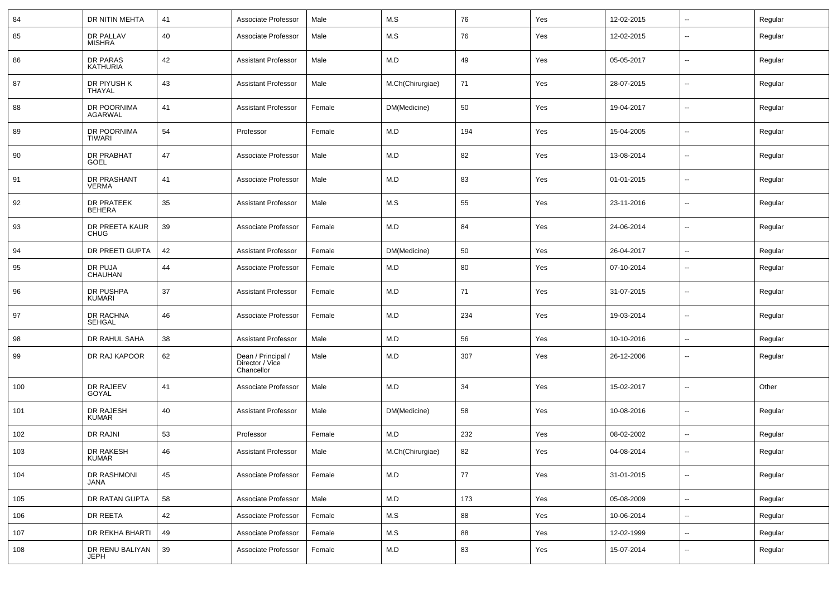| 84  | DR NITIN MEHTA                     | 41 | Associate Professor                                 | Male   | M.S              | 76  | Yes | 12-02-2015 | --                       | Regular |
|-----|------------------------------------|----|-----------------------------------------------------|--------|------------------|-----|-----|------------|--------------------------|---------|
| 85  | DR PALLAV<br><b>MISHRA</b>         | 40 | Associate Professor                                 | Male   | M.S              | 76  | Yes | 12-02-2015 | --                       | Regular |
| 86  | DR PARAS<br><b>KATHURIA</b>        | 42 | <b>Assistant Professor</b>                          | Male   | M.D              | 49  | Yes | 05-05-2017 | --                       | Regular |
| 87  | DR PIYUSH K<br>THAYAL              | 43 | <b>Assistant Professor</b>                          | Male   | M.Ch(Chirurgiae) | 71  | Yes | 28-07-2015 | $\overline{\phantom{a}}$ | Regular |
| 88  | DR POORNIMA<br><b>AGARWAL</b>      | 41 | <b>Assistant Professor</b>                          | Female | DM(Medicine)     | 50  | Yes | 19-04-2017 | --                       | Regular |
| 89  | DR POORNIMA<br><b>TIWARI</b>       | 54 | Professor                                           | Female | M.D              | 194 | Yes | 15-04-2005 | $\overline{\phantom{a}}$ | Regular |
| 90  | <b>DR PRABHAT</b><br><b>GOEL</b>   | 47 | Associate Professor                                 | Male   | M.D              | 82  | Yes | 13-08-2014 | $\overline{\phantom{a}}$ | Regular |
| 91  | DR PRASHANT<br><b>VERMA</b>        | 41 | Associate Professor                                 | Male   | M.D              | 83  | Yes | 01-01-2015 | --                       | Regular |
| 92  | <b>DR PRATEEK</b><br><b>BEHERA</b> | 35 | <b>Assistant Professor</b>                          | Male   | M.S              | 55  | Yes | 23-11-2016 | $\overline{\phantom{a}}$ | Regular |
| 93  | DR PREETA KAUR<br><b>CHUG</b>      | 39 | Associate Professor                                 | Female | M.D              | 84  | Yes | 24-06-2014 | --                       | Regular |
| 94  | DR PREETI GUPTA                    | 42 | <b>Assistant Professor</b>                          | Female | DM(Medicine)     | 50  | Yes | 26-04-2017 | $\overline{\phantom{a}}$ | Regular |
| 95  | DR PUJA<br><b>CHAUHAN</b>          | 44 | Associate Professor                                 | Female | M.D              | 80  | Yes | 07-10-2014 | $\overline{\phantom{a}}$ | Regular |
| 96  | DR PUSHPA<br>KUMARI                | 37 | <b>Assistant Professor</b>                          | Female | M.D              | 71  | Yes | 31-07-2015 | $\sim$                   | Regular |
| 97  | DR RACHNA<br><b>SEHGAL</b>         | 46 | Associate Professor                                 | Female | M.D              | 234 | Yes | 19-03-2014 | --                       | Regular |
| 98  | DR RAHUL SAHA                      | 38 | <b>Assistant Professor</b>                          | Male   | M.D              | 56  | Yes | 10-10-2016 | $\overline{\phantom{a}}$ | Regular |
| 99  | DR RAJ KAPOOR                      | 62 | Dean / Principal /<br>Director / Vice<br>Chancellor | Male   | M.D              | 307 | Yes | 26-12-2006 | --                       | Regular |
| 100 | DR RAJEEV<br>GOYAL                 | 41 | Associate Professor                                 | Male   | M.D              | 34  | Yes | 15-02-2017 | ⊷.                       | Other   |
| 101 | DR RAJESH<br><b>KUMAR</b>          | 40 | <b>Assistant Professor</b>                          | Male   | DM(Medicine)     | 58  | Yes | 10-08-2016 | ⊷.                       | Regular |
| 102 | DR RAJNI                           | 53 | Professor                                           | Female | M.D              | 232 | Yes | 08-02-2002 | --                       | Regular |
| 103 | DR RAKESH<br>KUMAR                 | 46 | <b>Assistant Professor</b>                          | Male   | M.Ch(Chirurgiae) | 82  | Yes | 04-08-2014 | --                       | Regular |
| 104 | DR RASHMONI<br>JANA                | 45 | Associate Professor                                 | Female | M.D              | 77  | Yes | 31-01-2015 | $\overline{\phantom{a}}$ | Regular |
| 105 | DR RATAN GUPTA                     | 58 | Associate Professor                                 | Male   | M.D              | 173 | Yes | 05-08-2009 | Ξ.                       | Regular |
| 106 | DR REETA                           | 42 | Associate Professor                                 | Female | M.S              | 88  | Yes | 10-06-2014 | ÷.                       | Regular |
| 107 | DR REKHA BHARTI                    | 49 | Associate Professor                                 | Female | M.S              | 88  | Yes | 12-02-1999 | $\sim$                   | Regular |
| 108 | DR RENU BALIYAN<br><b>JEPH</b>     | 39 | Associate Professor                                 | Female | M.D              | 83  | Yes | 15-07-2014 | н.                       | Regular |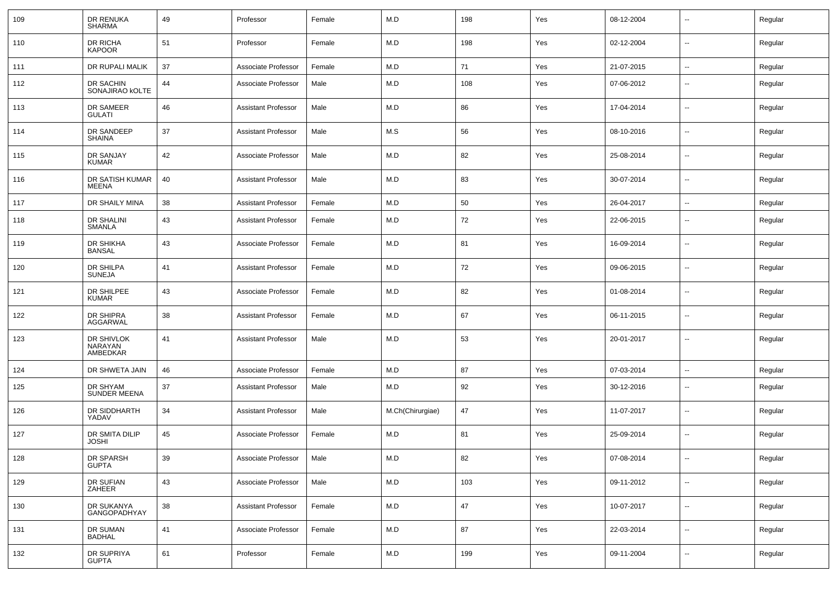| 109 | DR RENUKA<br>SHARMA               | 49 | Professor                  | Female | M.D              | 198 | Yes | 08-12-2004 | $\sim$                   | Regular |
|-----|-----------------------------------|----|----------------------------|--------|------------------|-----|-----|------------|--------------------------|---------|
| 110 | DR RICHA<br><b>KAPOOR</b>         | 51 | Professor                  | Female | M.D              | 198 | Yes | 02-12-2004 | $\sim$                   | Regular |
| 111 | DR RUPALI MALIK                   | 37 | Associate Professor        | Female | M.D              | 71  | Yes | 21-07-2015 | $\sim$                   | Regular |
| 112 | DR SACHIN<br>SONAJIRAO KOLTE      | 44 | Associate Professor        | Male   | M.D              | 108 | Yes | 07-06-2012 | $\sim$                   | Regular |
| 113 | DR SAMEER<br>GULATI               | 46 | <b>Assistant Professor</b> | Male   | M.D              | 86  | Yes | 17-04-2014 | $\sim$                   | Regular |
| 114 | DR SANDEEP<br><b>SHAINA</b>       | 37 | <b>Assistant Professor</b> | Male   | M.S              | 56  | Yes | 08-10-2016 | $\overline{\phantom{a}}$ | Regular |
| 115 | DR SANJAY<br><b>KUMAR</b>         | 42 | Associate Professor        | Male   | M.D              | 82  | Yes | 25-08-2014 | $\sim$                   | Regular |
| 116 | DR SATISH KUMAR<br>MEENA          | 40 | <b>Assistant Professor</b> | Male   | M.D              | 83  | Yes | 30-07-2014 | $\sim$                   | Regular |
| 117 | DR SHAILY MINA                    | 38 | <b>Assistant Professor</b> | Female | M.D              | 50  | Yes | 26-04-2017 | $\sim$                   | Regular |
| 118 | DR SHALINI<br>SMANLA              | 43 | <b>Assistant Professor</b> | Female | M.D              | 72  | Yes | 22-06-2015 | $\overline{\phantom{a}}$ | Regular |
| 119 | DR SHIKHA<br><b>BANSAL</b>        | 43 | Associate Professor        | Female | M.D              | 81  | Yes | 16-09-2014 | $\overline{\phantom{a}}$ | Regular |
| 120 | <b>DR SHILPA</b><br>SUNEJA        | 41 | <b>Assistant Professor</b> | Female | M.D              | 72  | Yes | 09-06-2015 | $\sim$                   | Regular |
| 121 | DR SHILPEE<br>KUMAR               | 43 | Associate Professor        | Female | M.D              | 82  | Yes | 01-08-2014 | $\overline{\phantom{a}}$ | Regular |
| 122 | DR SHIPRA<br>AGGARWAL             | 38 | <b>Assistant Professor</b> | Female | M.D              | 67  | Yes | 06-11-2015 | $\overline{\phantom{a}}$ | Regular |
| 123 | DR SHIVLOK<br>NARAYAN<br>AMBEDKAR | 41 | <b>Assistant Professor</b> | Male   | M.D              | 53  | Yes | 20-01-2017 | $\overline{\phantom{a}}$ | Regular |
| 124 | DR SHWETA JAIN                    | 46 | Associate Professor        | Female | M.D              | 87  | Yes | 07-03-2014 | $\overline{\phantom{a}}$ | Regular |
| 125 | DR SHYAM<br><b>SUNDER MEENA</b>   | 37 | <b>Assistant Professor</b> | Male   | M.D              | 92  | Yes | 30-12-2016 | $\overline{\phantom{a}}$ | Regular |
| 126 | DR SIDDHARTH<br>YADAV             | 34 | <b>Assistant Professor</b> | Male   | M.Ch(Chirurgiae) | 47  | Yes | 11-07-2017 | $\sim$                   | Regular |
| 127 | DR SMITA DILIP<br><b>JOSHI</b>    | 45 | Associate Professor        | Female | M.D              | 81  | Yes | 25-09-2014 | $\overline{\phantom{a}}$ | Regular |
| 128 | DR SPARSH<br>GUPTA                | 39 | Associate Professor        | Male   | M.D              | 82  | Yes | 07-08-2014 | $\overline{\phantom{a}}$ | Regular |
| 129 | DR SUFIAN<br>ZAHEER               | 43 | Associate Professor        | Male   | M.D              | 103 | Yes | 09-11-2012 | $\overline{\phantom{a}}$ | Regular |
| 130 | DR SUKANYA<br>GANGOPADHYAY        | 38 | <b>Assistant Professor</b> | Female | M.D              | 47  | Yes | 10-07-2017 | $\overline{\phantom{a}}$ | Regular |
| 131 | DR SUMAN<br>BADHAL                | 41 | Associate Professor        | Female | M.D              | 87  | Yes | 22-03-2014 | $\overline{\phantom{a}}$ | Regular |
| 132 | DR SUPRIYA<br><b>GUPTA</b>        | 61 | Professor                  | Female | M.D              | 199 | Yes | 09-11-2004 | $\overline{\phantom{a}}$ | Regular |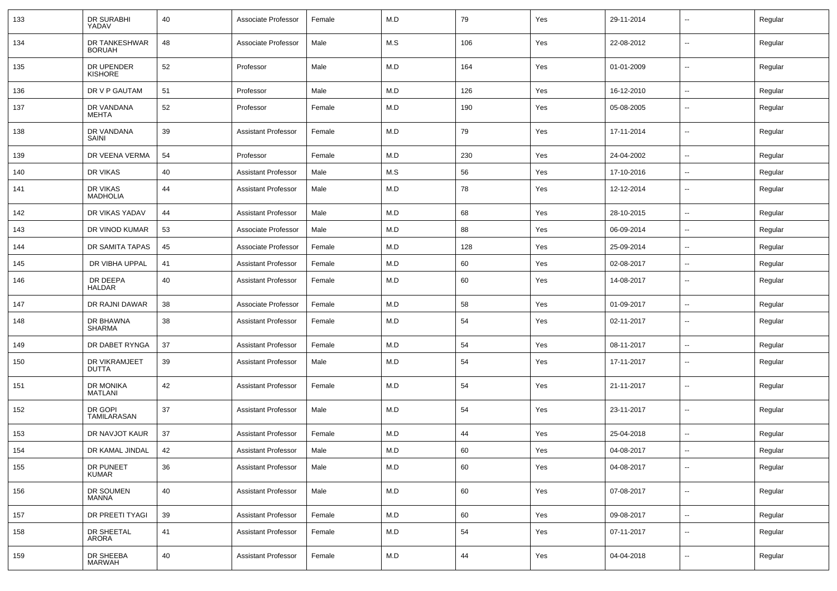| 133 | DR SURABHI<br>YADAV            | 40 | Associate Professor        | Female | M.D | 79  | Yes | 29-11-2014 | $\overline{\phantom{a}}$ | Regular |
|-----|--------------------------------|----|----------------------------|--------|-----|-----|-----|------------|--------------------------|---------|
| 134 | DR TANKESHWAR<br><b>BORUAH</b> | 48 | Associate Professor        | Male   | M.S | 106 | Yes | 22-08-2012 | $\overline{\phantom{a}}$ | Regular |
| 135 | DR UPENDER<br><b>KISHORE</b>   | 52 | Professor                  | Male   | M.D | 164 | Yes | 01-01-2009 | $\sim$                   | Regular |
| 136 | DR V P GAUTAM                  | 51 | Professor                  | Male   | M.D | 126 | Yes | 16-12-2010 | $\sim$                   | Regular |
| 137 | DR VANDANA<br>MEHTA            | 52 | Professor                  | Female | M.D | 190 | Yes | 05-08-2005 | $\overline{\phantom{a}}$ | Regular |
| 138 | DR VANDANA<br>SAINI            | 39 | <b>Assistant Professor</b> | Female | M.D | 79  | Yes | 17-11-2014 | --                       | Regular |
| 139 | DR VEENA VERMA                 | 54 | Professor                  | Female | M.D | 230 | Yes | 24-04-2002 | $\overline{\phantom{a}}$ | Regular |
| 140 | DR VIKAS                       | 40 | <b>Assistant Professor</b> | Male   | M.S | 56  | Yes | 17-10-2016 | --                       | Regular |
| 141 | DR VIKAS<br><b>MADHOLIA</b>    | 44 | Assistant Professor        | Male   | M.D | 78  | Yes | 12-12-2014 | --                       | Regular |
| 142 | DR VIKAS YADAV                 | 44 | <b>Assistant Professor</b> | Male   | M.D | 68  | Yes | 28-10-2015 | $\overline{\phantom{a}}$ | Regular |
| 143 | DR VINOD KUMAR                 | 53 | Associate Professor        | Male   | M.D | 88  | Yes | 06-09-2014 | $\overline{\phantom{a}}$ | Regular |
| 144 | DR SAMITA TAPAS                | 45 | Associate Professor        | Female | M.D | 128 | Yes | 25-09-2014 | $\sim$                   | Regular |
| 145 | DR VIBHA UPPAL                 | 41 | <b>Assistant Professor</b> | Female | M.D | 60  | Yes | 02-08-2017 | $\sim$                   | Regular |
| 146 | DR DEEPA<br><b>HALDAR</b>      | 40 | <b>Assistant Professor</b> | Female | M.D | 60  | Yes | 14-08-2017 | $\overline{\phantom{a}}$ | Regular |
| 147 | DR RAJNI DAWAR                 | 38 | Associate Professor        | Female | M.D | 58  | Yes | 01-09-2017 | $\overline{\phantom{a}}$ | Regular |
| 148 | DR BHAWNA<br><b>SHARMA</b>     | 38 | <b>Assistant Professor</b> | Female | M.D | 54  | Yes | 02-11-2017 | --                       | Regular |
| 149 | DR DABET RYNGA                 | 37 | <b>Assistant Professor</b> | Female | M.D | 54  | Yes | 08-11-2017 | $\overline{\phantom{a}}$ | Regular |
| 150 | DR VIKRAMJEET<br><b>DUTTA</b>  | 39 | <b>Assistant Professor</b> | Male   | M.D | 54  | Yes | 17-11-2017 | --                       | Regular |
| 151 | DR MONIKA<br>MATLANI           | 42 | <b>Assistant Professor</b> | Female | M.D | 54  | Yes | 21-11-2017 | $\overline{\phantom{a}}$ | Regular |
| 152 | DR GOPI<br>TAMILARASAN         | 37 | <b>Assistant Professor</b> | Male   | M.D | 54  | Yes | 23-11-2017 | $\overline{\phantom{a}}$ | Regular |
| 153 | DR NAVJOT KAUR                 | 37 | <b>Assistant Professor</b> | Female | M.D | 44  | Yes | 25-04-2018 | --                       | Regular |
| 154 | DR KAMAL JINDAL                | 42 | <b>Assistant Professor</b> | Male   | M.D | 60  | Yes | 04-08-2017 | $\overline{\phantom{a}}$ | Regular |
| 155 | DR PUNEET<br><b>KUMAR</b>      | 36 | Assistant Professor        | Male   | M.D | 60  | Yes | 04-08-2017 | $\sim$                   | Regular |
| 156 | DR SOUMEN<br>MANNA             | 40 | <b>Assistant Professor</b> | Male   | M.D | 60  | Yes | 07-08-2017 | $\sim$                   | Regular |
| 157 | DR PREETI TYAGI                | 39 | <b>Assistant Professor</b> | Female | M.D | 60  | Yes | 09-08-2017 | $\sim$                   | Regular |
| 158 | DR SHEETAL<br>ARORA            | 41 | <b>Assistant Professor</b> | Female | M.D | 54  | Yes | 07-11-2017 | $\sim$                   | Regular |
| 159 | DR SHEEBA<br><b>MARWAH</b>     | 40 | <b>Assistant Professor</b> | Female | M.D | 44  | Yes | 04-04-2018 | --                       | Regular |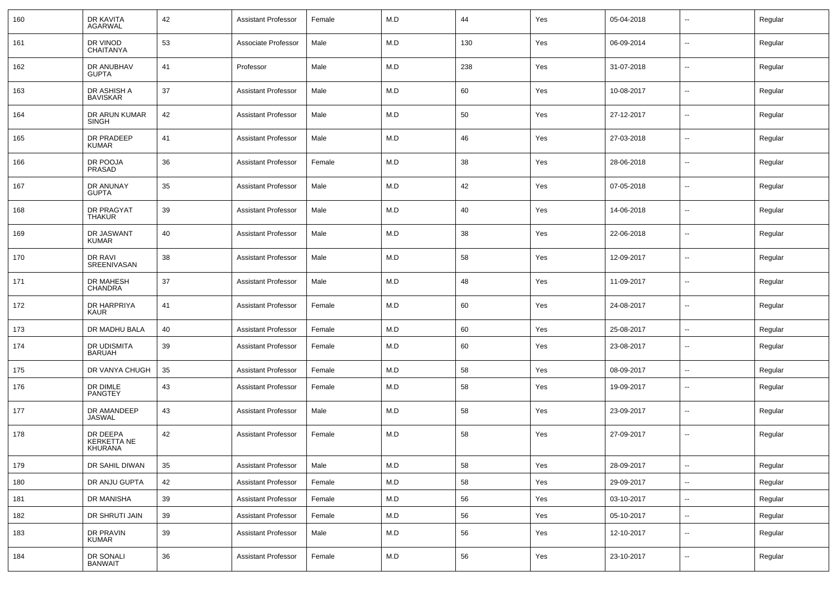| 160 | DR KAVITA<br><b>AGARWAL</b>               | 42 | Assistant Professor        | Female | M.D         | 44  | Yes | 05-04-2018 | $\overline{\phantom{a}}$ | Regular |
|-----|-------------------------------------------|----|----------------------------|--------|-------------|-----|-----|------------|--------------------------|---------|
| 161 | DR VINOD<br><b>CHAITANYA</b>              | 53 | Associate Professor        | Male   | M.D         | 130 | Yes | 06-09-2014 | $\sim$                   | Regular |
| 162 | DR ANUBHAV<br><b>GUPTA</b>                | 41 | Professor                  | Male   | M.D         | 238 | Yes | 31-07-2018 | $\sim$                   | Regular |
| 163 | DR ASHISH A<br><b>BAVISKAR</b>            | 37 | Assistant Professor        | Male   | M.D         | 60  | Yes | 10-08-2017 | $\sim$                   | Regular |
| 164 | DR ARUN KUMAR<br>SINGH                    | 42 | Assistant Professor        | Male   | M.D         | 50  | Yes | 27-12-2017 | $\sim$                   | Regular |
| 165 | DR PRADEEP<br>KUMAR                       | 41 | Assistant Professor        | Male   | M.D         | 46  | Yes | 27-03-2018 | $\sim$                   | Regular |
| 166 | DR POOJA<br>PRASAD                        | 36 | Assistant Professor        | Female | M.D         | 38  | Yes | 28-06-2018 | $\sim$                   | Regular |
| 167 | DR ANUNAY<br><b>GUPTA</b>                 | 35 | Assistant Professor        | Male   | M.D         | 42  | Yes | 07-05-2018 | $\sim$                   | Regular |
| 168 | DR PRAGYAT<br>THAKUR                      | 39 | Assistant Professor        | Male   | M.D         | 40  | Yes | 14-06-2018 | $\sim$                   | Regular |
| 169 | DR JASWANT<br><b>KUMAR</b>                | 40 | Assistant Professor        | Male   | M.D         | 38  | Yes | 22-06-2018 | $\sim$                   | Regular |
| 170 | DR RAVI<br>SREENIVASAN                    | 38 | Assistant Professor        | Male   | M.D         | 58  | Yes | 12-09-2017 | $\sim$                   | Regular |
| 171 | DR MAHESH<br><b>CHANDRA</b>               | 37 | Assistant Professor        | Male   | M.D         | 48  | Yes | 11-09-2017 | $\sim$                   | Regular |
| 172 | DR HARPRIYA<br>KAUR                       | 41 | Assistant Professor        | Female | M.D         | 60  | Yes | 24-08-2017 | $\sim$                   | Regular |
| 173 | DR MADHU BALA                             | 40 | Assistant Professor        | Female | M.D         | 60  | Yes | 25-08-2017 | $\sim$                   | Regular |
| 174 | DR UDISMITA<br>BARUAH                     | 39 | Assistant Professor        | Female | M.D         | 60  | Yes | 23-08-2017 | --                       | Regular |
| 175 | DR VANYA CHUGH                            | 35 | Assistant Professor        | Female | M.D         | 58  | Yes | 08-09-2017 | --                       | Regular |
| 176 | DR DIMLE<br>PANGTEY                       | 43 | <b>Assistant Professor</b> | Female | M.D         | 58  | Yes | 19-09-2017 | $\overline{\phantom{a}}$ | Regular |
| 177 | DR AMANDEEP<br><b>JASWAL</b>              | 43 | <b>Assistant Professor</b> | Male   | M.D         | 58  | Yes | 23-09-2017 | $\sim$                   | Regular |
| 178 | DR DEEPA<br><b>KERKETTA NE</b><br>KHURANA | 42 | <b>Assistant Professor</b> | Female | M.D         | 58  | Yes | 27-09-2017 | $\overline{\phantom{a}}$ | Regular |
| 179 | DR SAHIL DIWAN                            | 35 | <b>Assistant Professor</b> | Male   | ${\sf M.D}$ | 58  | Yes | 28-09-2017 | $\overline{\phantom{a}}$ | Regular |
| 180 | DR ANJU GUPTA                             | 42 | <b>Assistant Professor</b> | Female | M.D         | 58  | Yes | 29-09-2017 | $\mathbf{u}$             | Regular |
| 181 | DR MANISHA                                | 39 | <b>Assistant Professor</b> | Female | M.D         | 56  | Yes | 03-10-2017 | $\sim$                   | Regular |
| 182 | DR SHRUTI JAIN                            | 39 | <b>Assistant Professor</b> | Female | M.D         | 56  | Yes | 05-10-2017 | $\sim$                   | Regular |
| 183 | DR PRAVIN<br><b>KUMAR</b>                 | 39 | <b>Assistant Professor</b> | Male   | M.D         | 56  | Yes | 12-10-2017 | $\sim$                   | Regular |
| 184 | DR SONALI<br>BANWAIT                      | 36 | <b>Assistant Professor</b> | Female | M.D         | 56  | Yes | 23-10-2017 | $\sim$                   | Regular |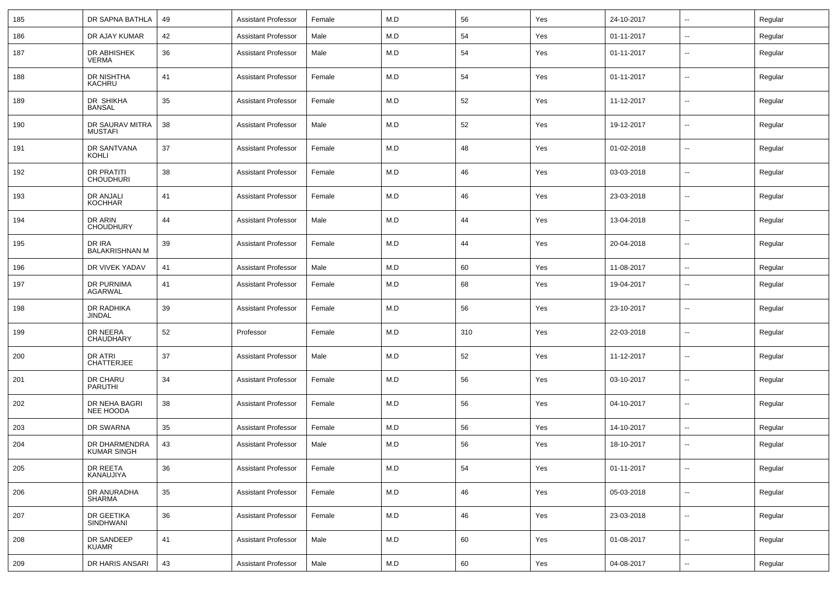| 185 | DR SAPNA BATHLA                       | 49 | <b>Assistant Professor</b> | Female | M.D | 56  | Yes | 24-10-2017 | $\sim$                   | Regular |
|-----|---------------------------------------|----|----------------------------|--------|-----|-----|-----|------------|--------------------------|---------|
| 186 | DR AJAY KUMAR                         | 42 | <b>Assistant Professor</b> | Male   | M.D | 54  | Yes | 01-11-2017 | ۰.                       | Regular |
| 187 | DR ABHISHEK<br><b>VERMA</b>           | 36 | <b>Assistant Professor</b> | Male   | M.D | 54  | Yes | 01-11-2017 | $\overline{\phantom{a}}$ | Regular |
| 188 | DR NISHTHA<br>KACHRU                  | 41 | <b>Assistant Professor</b> | Female | M.D | 54  | Yes | 01-11-2017 | $\overline{\phantom{a}}$ | Regular |
| 189 | DR SHIKHA<br><b>BANSAL</b>            | 35 | <b>Assistant Professor</b> | Female | M.D | 52  | Yes | 11-12-2017 | $\overline{\phantom{a}}$ | Regular |
| 190 | DR SAURAV MITRA<br>MUSTAFI            | 38 | <b>Assistant Professor</b> | Male   | M.D | 52  | Yes | 19-12-2017 | $\overline{\phantom{a}}$ | Regular |
| 191 | DR SANTVANA<br>KOHLI                  | 37 | <b>Assistant Professor</b> | Female | M.D | 48  | Yes | 01-02-2018 | $\overline{\phantom{a}}$ | Regular |
| 192 | <b>DR PRATITI</b><br><b>CHOUDHURI</b> | 38 | <b>Assistant Professor</b> | Female | M.D | 46  | Yes | 03-03-2018 | $\overline{\phantom{a}}$ | Regular |
| 193 | DR ANJALI<br><b>KOCHHAR</b>           | 41 | <b>Assistant Professor</b> | Female | M.D | 46  | Yes | 23-03-2018 | $\overline{\phantom{a}}$ | Regular |
| 194 | DR ARIN<br><b>CHOUDHURY</b>           | 44 | <b>Assistant Professor</b> | Male   | M.D | 44  | Yes | 13-04-2018 | $\overline{\phantom{a}}$ | Regular |
| 195 | DR IRA<br><b>BALAKRISHNAN M</b>       | 39 | <b>Assistant Professor</b> | Female | M.D | 44  | Yes | 20-04-2018 | $\overline{\phantom{a}}$ | Regular |
| 196 | DR VIVEK YADAV                        | 41 | <b>Assistant Professor</b> | Male   | M.D | 60  | Yes | 11-08-2017 | $\overline{\phantom{a}}$ | Regular |
| 197 | DR PURNIMA<br>AGARWAL                 | 41 | <b>Assistant Professor</b> | Female | M.D | 68  | Yes | 19-04-2017 | $-$                      | Regular |
| 198 | DR RADHIKA<br><b>JINDAL</b>           | 39 | <b>Assistant Professor</b> | Female | M.D | 56  | Yes | 23-10-2017 | --                       | Regular |
| 199 | DR NEERA<br>CHAUDHARY                 | 52 | Professor                  | Female | M.D | 310 | Yes | 22-03-2018 | --                       | Regular |
| 200 | DR ATRI<br>CHATTERJEE                 | 37 | <b>Assistant Professor</b> | Male   | M.D | 52  | Yes | 11-12-2017 | $-$                      | Regular |
| 201 | DR CHARU<br>PARUTHI                   | 34 | <b>Assistant Professor</b> | Female | M.D | 56  | Yes | 03-10-2017 | --                       | Regular |
| 202 | DR NEHA BAGRI<br>NEE HOODA            | 38 | <b>Assistant Professor</b> | Female | M.D | 56  | Yes | 04-10-2017 | --                       | Regular |
| 203 | DR SWARNA                             | 35 | <b>Assistant Professor</b> | Female | M.D | 56  | Yes | 14-10-2017 | $-$                      | Regular |
| 204 | DR DHARMENDRA<br>KUMAR SINGH          | 43 | <b>Assistant Professor</b> | Male   | M.D | 56  | Yes | 18-10-2017 | $\overline{a}$           | Regular |
| 205 | DR REETA<br>KANAUJIYA                 | 36 | <b>Assistant Professor</b> | Female | M.D | 54  | Yes | 01-11-2017 | $\overline{\phantom{a}}$ | Regular |
| 206 | DR ANURADHA<br>SHARMA                 | 35 | <b>Assistant Professor</b> | Female | M.D | 46  | Yes | 05-03-2018 | ÷.                       | Regular |
| 207 | DR GEETIKA<br>SINDHWANI               | 36 | <b>Assistant Professor</b> | Female | M.D | 46  | Yes | 23-03-2018 | ÷.                       | Regular |
| 208 | DR SANDEEP<br><b>KUAMR</b>            | 41 | <b>Assistant Professor</b> | Male   | M.D | 60  | Yes | 01-08-2017 | ÷.                       | Regular |
| 209 | DR HARIS ANSARI                       | 43 | <b>Assistant Professor</b> | Male   | M.D | 60  | Yes | 04-08-2017 | $\sim$                   | Regular |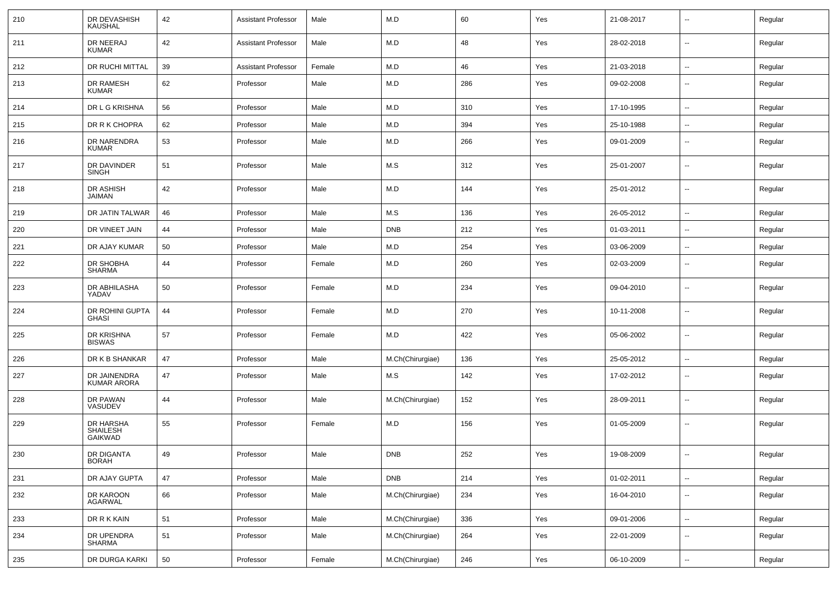| 210 | DR DEVASHISH<br><b>KAUSHAL</b>          | 42 | <b>Assistant Professor</b> | Male   | M.D              | 60  | Yes | 21-08-2017 | $\sim$                   | Regular |
|-----|-----------------------------------------|----|----------------------------|--------|------------------|-----|-----|------------|--------------------------|---------|
| 211 | DR NEERAJ<br><b>KUMAR</b>               | 42 | <b>Assistant Professor</b> | Male   | M.D              | 48  | Yes | 28-02-2018 | $\sim$                   | Regular |
| 212 | DR RUCHI MITTAL                         | 39 | <b>Assistant Professor</b> | Female | M.D              | 46  | Yes | 21-03-2018 | $\sim$                   | Regular |
| 213 | DR RAMESH<br><b>KUMAR</b>               | 62 | Professor                  | Male   | M.D              | 286 | Yes | 09-02-2008 | --                       | Regular |
| 214 | DR L G KRISHNA                          | 56 | Professor                  | Male   | M.D              | 310 | Yes | 17-10-1995 | $\overline{\phantom{a}}$ | Regular |
| 215 | DR R K CHOPRA                           | 62 | Professor                  | Male   | M.D              | 394 | Yes | 25-10-1988 | --                       | Regular |
| 216 | DR NARENDRA<br><b>KUMAR</b>             | 53 | Professor                  | Male   | M.D              | 266 | Yes | 09-01-2009 | $\overline{\phantom{a}}$ | Regular |
| 217 | DR DAVINDER<br><b>SINGH</b>             | 51 | Professor                  | Male   | M.S              | 312 | Yes | 25-01-2007 | $\overline{\phantom{a}}$ | Regular |
| 218 | DR ASHISH<br><b>JAIMAN</b>              | 42 | Professor                  | Male   | M.D              | 144 | Yes | 25-01-2012 | $\overline{\phantom{a}}$ | Regular |
| 219 | DR JATIN TALWAR                         | 46 | Professor                  | Male   | M.S              | 136 | Yes | 26-05-2012 | $\overline{\phantom{a}}$ | Regular |
| 220 | DR VINEET JAIN                          | 44 | Professor                  | Male   | <b>DNB</b>       | 212 | Yes | 01-03-2011 | $\overline{\phantom{a}}$ | Regular |
| 221 | DR AJAY KUMAR                           | 50 | Professor                  | Male   | M.D              | 254 | Yes | 03-06-2009 | $\overline{\phantom{a}}$ | Regular |
| 222 | DR SHOBHA<br>SHARMA                     | 44 | Professor                  | Female | M.D              | 260 | Yes | 02-03-2009 | --                       | Regular |
| 223 | DR ABHILASHA<br>YADAV                   | 50 | Professor                  | Female | M.D              | 234 | Yes | 09-04-2010 | $\overline{\phantom{a}}$ | Regular |
| 224 | DR ROHINI GUPTA<br><b>GHASI</b>         | 44 | Professor                  | Female | M.D              | 270 | Yes | 10-11-2008 | $\overline{\phantom{a}}$ | Regular |
| 225 | DR KRISHNA<br><b>BISWAS</b>             | 57 | Professor                  | Female | M.D              | 422 | Yes | 05-06-2002 | --                       | Regular |
| 226 | DR K B SHANKAR                          | 47 | Professor                  | Male   | M.Ch(Chirurgiae) | 136 | Yes | 25-05-2012 | $\sim$                   | Regular |
| 227 | DR JAINENDRA<br>KUMAR ARORA             | 47 | Professor                  | Male   | M.S              | 142 | Yes | 17-02-2012 | $\overline{\phantom{a}}$ | Regular |
| 228 | DR PAWAN<br>VASUDEV                     | 44 | Professor                  | Male   | M.Ch(Chirurgiae) | 152 | Yes | 28-09-2011 | $\overline{\phantom{a}}$ | Regular |
| 229 | DR HARSHA<br><b>SHAILESH</b><br>GAIKWAD | 55 | Professor                  | Female | M.D              | 156 | Yes | 01-05-2009 | --                       | Regular |
| 230 | DR DIGANTA<br><b>BORAH</b>              | 49 | Professor                  | Male   | <b>DNB</b>       | 252 | Yes | 19-08-2009 | $\overline{\phantom{a}}$ | Regular |
| 231 | DR AJAY GUPTA                           | 47 | Professor                  | Male   | <b>DNB</b>       | 214 | Yes | 01-02-2011 | $\sim$                   | Regular |
| 232 | DR KAROON<br>AGARWAL                    | 66 | Professor                  | Male   | M.Ch(Chirurgiae) | 234 | Yes | 16-04-2010 | $\sim$                   | Regular |
| 233 | DR R K KAIN                             | 51 | Professor                  | Male   | M.Ch(Chirurgiae) | 336 | Yes | 09-01-2006 | $\sim$                   | Regular |
| 234 | DR UPENDRA<br>SHARMA                    | 51 | Professor                  | Male   | M.Ch(Chirurgiae) | 264 | Yes | 22-01-2009 | $\sim$                   | Regular |
| 235 | DR DURGA KARKI                          | 50 | Professor                  | Female | M.Ch(Chirurgiae) | 246 | Yes | 06-10-2009 | н.                       | Regular |